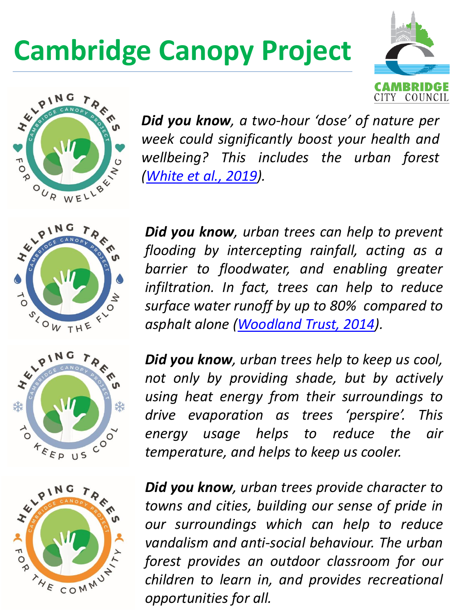## **Cambridge Canopy Project**





*Did you know, a two-hour 'dose' of nature per week could significantly boost your health and wellbeing? This includes the urban forest ([White](https://www.nature.com/articles/s41598-019-44097-3) et al., 2019).*



*Did you know, urban trees can help to prevent flooding by intercepting rainfall, acting as a barrier to floodwater, and enabling greater infiltration. In fact, trees can help to reduce surface water runoff by up to 80% compared to asphalt alone ([Woodland](https://www.woodlandtrust.org.uk/media/1794/stemming-the-flow-trees-in-flood-protection.pdf) Trust, 2014).*





*Did you know, urban trees help to keep us cool, not only by providing shade, but by actively using heat energy from their surroundings to drive evaporation as trees 'perspire'. This energy usage helps to reduce the air temperature, and helps to keep us cooler.*

*Did you know, urban trees provide character to towns and cities, building our sense of pride in our surroundings which can help to reduce vandalism and anti-social behaviour. The urban forest provides an outdoor classroom for our children to learn in, and provides recreational opportunities for all.*